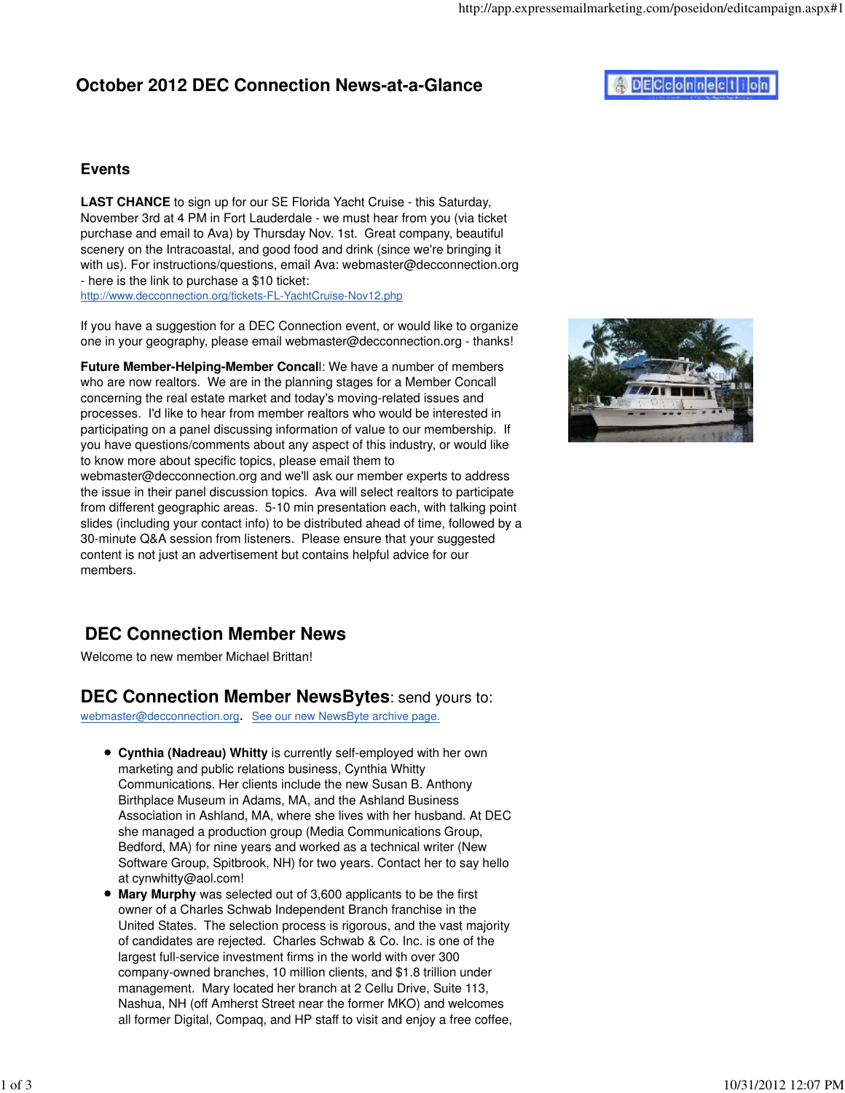## **October 2012 DEC Connection News-at-a-Glance**

# **ADECCONNection**

#### **Events**

**LAST CHANCE** to sign up for our SE Florida Yacht Cruise - this Saturday, November 3rd at 4 PM in Fort Lauderdale - we must hear from you (via ticket purchase and email to Ava) by Thursday Nov. 1st. Great company, beautiful scenery on the Intracoastal, and good food and drink (since we're bringing it with us). For instructions/questions, email Ava: webmaster@decconnection.org - here is the link to purchase a \$10 ticket: http://www.decconnection.org/tickets-FL-YachtCruise-Nov12.php

If you have a suggestion for a DEC Connection event, or would like to organize one in your geography, please email webmaster@decconnection.org - thanks!

**Future Member-Helping-Member Concal**l: We have a number of members who are now realtors. We are in the planning stages for a Member Concall concerning the real estate market and today's moving-related issues and processes. I'd like to hear from member realtors who would be interested in participating on a panel discussing information of value to our membership. If you have questions/comments about any aspect of this industry, or would like to know more about specific topics, please email them to

webmaster@decconnection.org and we'll ask our member experts to address the issue in their panel discussion topics. Ava will select realtors to participate from different geographic areas. 5-10 min presentation each, with talking point slides (including your contact info) to be distributed ahead of time, followed by a 30-minute Q&A session from listeners. Please ensure that your suggested content is not just an advertisement but contains helpful advice for our members.



Welcome to new member Michael Brittan!

### **DEC Connection Member NewsBytes**: send yours to:

webmaster@decconnection.org. See our new NewsByte archive page.

- **Cynthia (Nadreau) Whitty** is currently self-employed with her own marketing and public relations business, Cynthia Whitty Communications. Her clients include the new Susan B. Anthony Birthplace Museum in Adams, MA, and the Ashland Business Association in Ashland, MA, where she lives with her husband. At DEC she managed a production group (Media Communications Group, Bedford, MA) for nine years and worked as a technical writer (New Software Group, Spitbrook, NH) for two years. Contact her to say hello at cynwhitty@aol.com!
- **Mary Murphy** was selected out of 3,600 applicants to be the first owner of a Charles Schwab Independent Branch franchise in the United States. The selection process is rigorous, and the vast majority of candidates are rejected. Charles Schwab & Co. Inc. is one of the largest full-service investment firms in the world with over 300 company-owned branches, 10 million clients, and \$1.8 trillion under management. Mary located her branch at 2 Cellu Drive, Suite 113, Nashua, NH (off Amherst Street near the former MKO) and welcomes all former Digital, Compaq, and HP staff to visit and enjoy a free coffee,

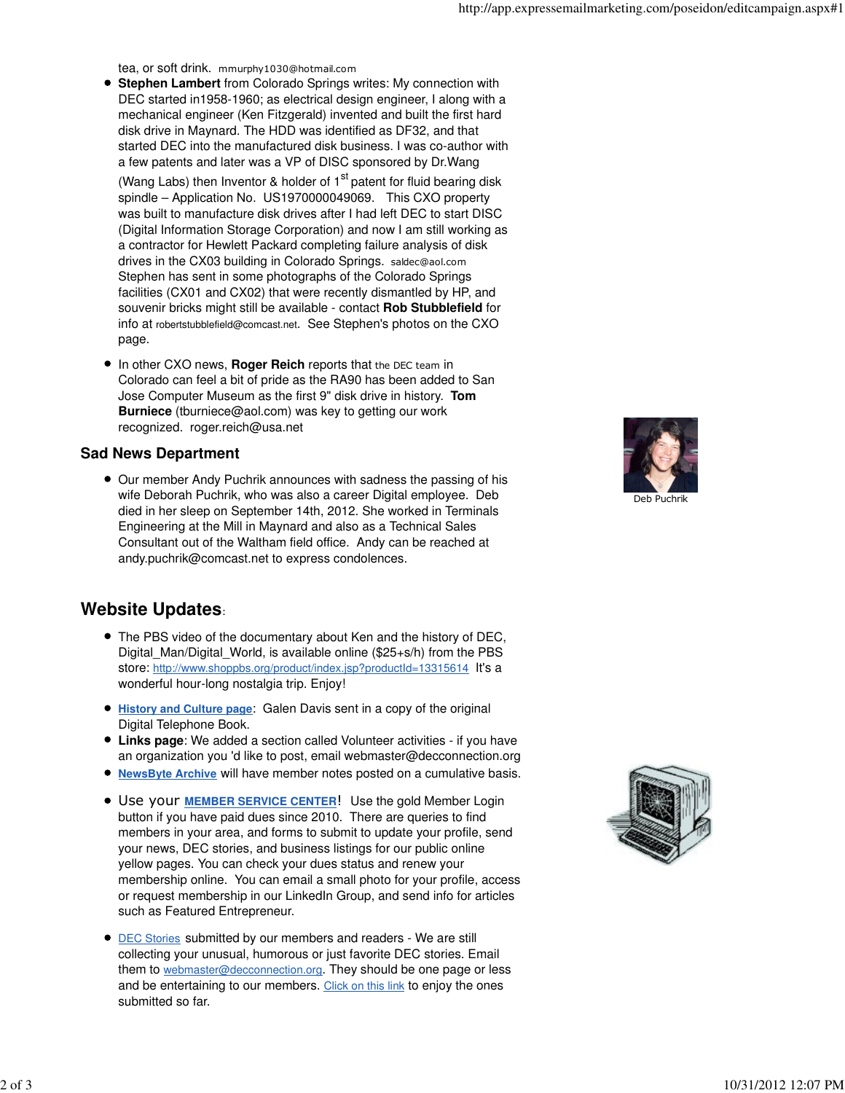tea, or soft drink. mmurphy1030@hotmail.com

- **Stephen Lambert** from Colorado Springs writes: My connection with DEC started in1958-1960; as electrical design engineer, I along with a mechanical engineer (Ken Fitzgerald) invented and built the first hard disk drive in Maynard. The HDD was identified as DF32, and that started DEC into the manufactured disk business. I was co-author with a few patents and later was a VP of DISC sponsored by Dr.Wang (Wang Labs) then Inventor & holder of  $1<sup>st</sup>$  patent for fluid bearing disk spindle – Application No. US1970000049069. This CXO property was built to manufacture disk drives after I had left DEC to start DISC (Digital Information Storage Corporation) and now I am still working as a contractor for Hewlett Packard completing failure analysis of disk drives in the CX03 building in Colorado Springs. saldec@aol.com Stephen has sent in some photographs of the Colorado Springs facilities (CX01 and CX02) that were recently dismantled by HP, and souvenir bricks might still be available - contact **Rob Stubblefield** for info at robertstubblefield@comcast.net. See Stephen's photos on the CXO page.
- **In other CXO news, Roger Reich reports that the DEC team in** Colorado can feel a bit of pride as the RA90 has been added to San Jose Computer Museum as the first 9" disk drive in history. **Tom Burniece** (tburniece@aol.com) was key to getting our work recognized. roger.reich@usa.net

#### **Sad News Department**

Our member Andy Puchrik announces with sadness the passing of his wife Deborah Puchrik, who was also a career Digital employee. Deb died in her sleep on September 14th, 2012. She worked in Terminals Engineering at the Mill in Maynard and also as a Technical Sales Consultant out of the Waltham field office. Andy can be reached at andy.puchrik@comcast.net to express condolences.

### **Website Updates**:

- The PBS video of the documentary about Ken and the history of DEC, Digital\_Man/Digital\_World, is available online (\$25+s/h) from the PBS store: http://www.shoppbs.org/product/index.jsp?productId=13315614 It's a wonderful hour-long nostalgia trip. Enjoy!
- **History and Culture page**: Galen Davis sent in a copy of the original  $\bullet$ Digital Telephone Book.
- **Links page**: We added a section called Volunteer activities if you have an organization you 'd like to post, email webmaster@decconnection.org
- **NewsByte Archive** will have member notes posted on a cumulative basis.
- Use your **MEMBER SERVICE CENTER**! Use the gold Member Login button if you have paid dues since 2010. There are queries to find members in your area, and forms to submit to update your profile, send your news, DEC stories, and business listings for our public online yellow pages. You can check your dues status and renew your membership online. You can email a small photo for your profile, access or request membership in our LinkedIn Group, and send info for articles such as Featured Entrepreneur.
- **DEC Stories submitted by our members and readers We are still** collecting your unusual, humorous or just favorite DEC stories. Email them to webmaster@decconnection.org. They should be one page or less and be entertaining to our members. Click on this link to enjoy the ones submitted so far.



Deb Puchrik